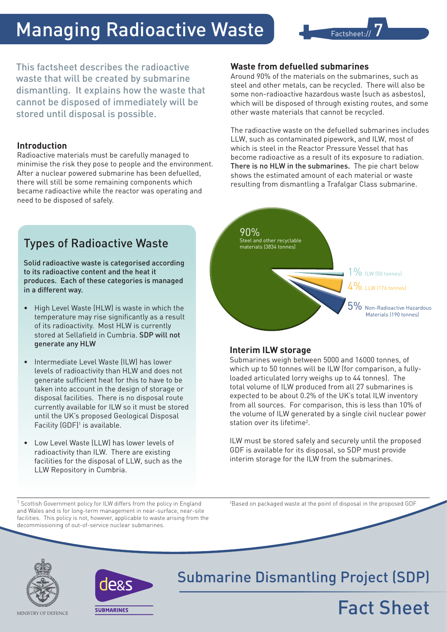# Managing Radioactive Waste



This factsheet describes the radioactive waste that will be created by submarine dismantling. It explains how the waste that cannot be disposed of immediately will be stored until disposal is possible.

### **Introduction**

Radioactive materials must be carefully managed to minimise the risk they pose to people and the environment. After a nuclear powered submarine has been defuelled, there will still be some remaining components which became radioactive while the reactor was operating and need to be disposed of safely.

### Types of Radioactive Waste

Solid radioactive waste is categorised according to its radioactive content and the heat it produces. Each of these categories is managed in a different way.

- • High Level Waste (HLW) is waste in which the temperature may rise significantly as a result of its radioactivity. Most HLW is currently stored at Sellafield in Cumbria. SDP will not generate any HLW
- Intermediate Level Waste (ILW) has lower levels of radioactivity than HLW and does not generate sufficient heat for this to have to be taken into account in the design of storage or disposal facilities. There is no disposal route currently available for ILW so it must be stored until the UK's proposed Geological Disposal Facility (GDF)<sup>1</sup> is available.
- Low Level Waste (LLW) has lower levels of radioactivity than ILW. There are existing facilities for the disposal of LLW, such as the LLW Repository in Cumbria.

<sup>1</sup> Scottish Government policy for ILW differs from the policy in England and Wales and is for long-term management in near-surface, near-site facilities. This policy is not, however, applicable to waste arising from the decommissioning of out-of-service nuclear submarines.

### **Waste from defuelled submarines**

Around 90% of the materials on the submarines, such as steel and other metals, can be recycled. There will also be some non-radioactive hazardous waste (such as asbestos), which will be disposed of through existing routes, and some other waste materials that cannot be recycled.

The radioactive waste on the defuelled submarines includes LLW, such as contaminated pipework, and ILW, most of which is steel in the Reactor Pressure Vessel that has become radioactive as a result of its exposure to radiation. There is no HLW in the submarines. The pie chart below shows the estimated amount of each material or waste resulting from dismantling a Trafalgar Class submarine.



### **Interim ILW storage**

Submarines weigh between 5000 and 16000 tonnes, of which up to 50 tonnes will be ILW (for comparison, a fullyloaded articulated lorry weighs up to 44 tonnes). The total volume of ILW produced from all 27 submarines is expected to be about 0.2% of the UK's total ILW inventory from all sources. For comparison, this is less than 10% of the volume of ILW generated by a single civil nuclear power station over its lifetime<sup>2</sup>.

ILW must be stored safely and securely until the proposed GDF is available for its disposal, so SDP must provide interim storage for the ILW from the submarines.

2 Based on packaged waste at the point of disposal in the proposed GDF

Fact Sheet





## Submarine Dismantling Project (SDP)